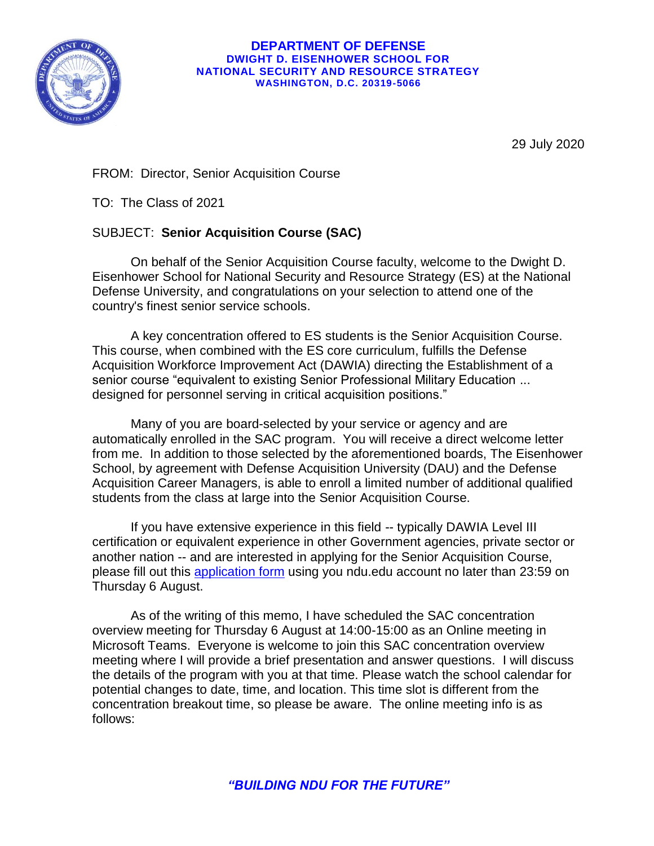

## **DEPARTMENT OF DEFENSE DWIGHT D. EISENHOWER SCHOOL FOR NATIONAL SECURITY AND RESOURCE STRATEGY WASHINGTON, D.C. 20319-5066**

29 July 2020

FROM: Director, Senior Acquisition Course

TO: The Class of 2021

## SUBJECT: **Senior Acquisition Course (SAC)**

On behalf of the Senior Acquisition Course faculty, welcome to the Dwight D. Eisenhower School for National Security and Resource Strategy (ES) at the National Defense University, and congratulations on your selection to attend one of the country's finest senior service schools.

A key concentration offered to ES students is the Senior Acquisition Course. This course, when combined with the ES core curriculum, fulfills the Defense Acquisition Workforce Improvement Act (DAWIA) directing the Establishment of a senior course "equivalent to existing Senior Professional Military Education ... designed for personnel serving in critical acquisition positions."

Many of you are board-selected by your service or agency and are automatically enrolled in the SAC program. You will receive a direct welcome letter from me. In addition to those selected by the aforementioned boards, The Eisenhower School, by agreement with Defense Acquisition University (DAU) and the Defense Acquisition Career Managers, is able to enroll a limited number of additional qualified students from the class at large into the Senior Acquisition Course.

If you have extensive experience in this field -- typically DAWIA Level III certification or equivalent experience in other Government agencies, private sector or another nation -- and are interested in applying for the Senior Acquisition Course, please fill out this [application form](https://forms.office.com/Pages/ResponsePage.aspx?id=n5T-q8gdK0a_hzUnFo3AUu2qvJ-zU0pEhsTbad_bGYZUOFQ0U0c1Q0hUNVZFQldVVjNOV0JTOFk1QiQlQCN0PWcu) using you ndu.edu account no later than 23:59 on Thursday 6 August.

As of the writing of this memo, I have scheduled the SAC concentration overview meeting for Thursday 6 August at 14:00-15:00 as an Online meeting in Microsoft Teams. Everyone is welcome to join this SAC concentration overview meeting where I will provide a brief presentation and answer questions. I will discuss the details of the program with you at that time. Please watch the school calendar for potential changes to date, time, and location. This time slot is different from the concentration breakout time, so please be aware. The online meeting info is as follows: